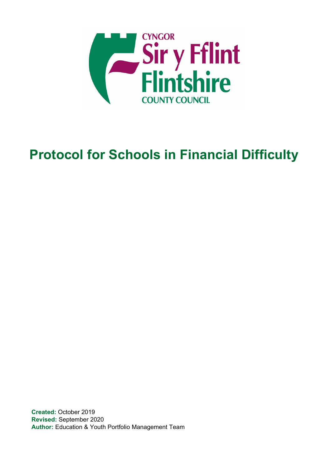

# **Protocol for Schools in Financial Difficulty**

**Created:** October 2019 **Revised:** September 2020 **Author:** Education & Youth Portfolio Management Team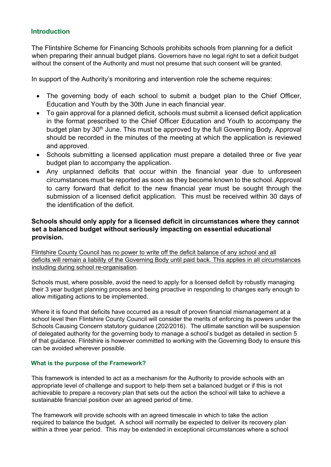#### **Introduction**

The Flintshire Scheme for Financing Schools prohibits schools from planning for a deficit when preparing their annual budget plans. Governors have no legal right to set a deficit budget without the consent of the Authority and must not presume that such consent will be granted.

In support of the Authority's monitoring and intervention role the scheme requires:

- The governing body of each school to submit a budget plan to the Chief Officer, Education and Youth by the 30th June in each financial year.
- To gain approval for a planned deficit, schools must submit a licensed deficit application in the format prescribed to the Chief Officer Education and Youth to accompany the budget plan by 30<sup>th</sup> June. This must be approved by the full Governing Body. Approval should be recorded in the minutes of the meeting at which the application is reviewed and approved.
- Schools submitting a licensed application must prepare a detailed three or five year budget plan to accompany the application.
- Any unplanned deficits that occur within the financial year due to unforeseen circumstances must be reported as soon as they become known to the school. Approval to carry forward that deficit to the new financial year must be sought through the submission of a licensed deficit application. This must be received within 30 days of the identification of the deficit.

#### **Schools should only apply for a licensed deficit in circumstances where they cannot set a balanced budget without seriously impacting on essential educational provision.**

Flintshire County Council has no power to write off the deficit balance of any school and all deficits will remain a liability of the Governing Body until paid back. This applies in all circumstances including during school re-organisation.

Schools must, where possible, avoid the need to apply for a licensed deficit by robustly managing their 3 year budget planning process and being proactive in responding to changes early enough to allow mitigating actions to be implemented.

Where it is found that deficits have occurred as a result of proven financial mismanagement at a school level then Flintshire County Council will consider the merits of enforcing its powers under the Schools Causing Concern statutory guidance (202/2016). The ultimate sanction will be suspension of delegated authority for the governing body to manage a school's budget as detailed in section 5 of that guidance. Flintshire is however committed to working with the Governing Body to ensure this can be avoided wherever possible.

#### **What is the purpose of the Framework?**

This framework is intended to act as a mechanism for the Authority to provide schools with an appropriate level of challenge and support to help them set a balanced budget or if this is not achievable to prepare a recovery plan that sets out the action the school will take to achieve a sustainable financial position over an agreed period of time.

The framework will provide schools with an agreed timescale in which to take the action required to balance the budget. A school will normally be expected to deliver its recovery plan within a three year period. This may be extended in exceptional circumstances where a school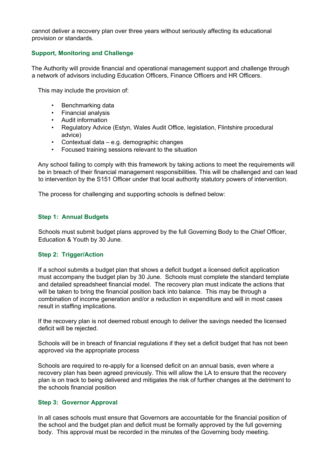cannot deliver a recovery plan over three years without seriously affecting its educational provision or standards.

#### **Support, Monitoring and Challenge**

The Authority will provide financial and operational management support and challenge through a network of advisors including Education Officers, Finance Officers and HR Officers.

This may include the provision of:

- Benchmarking data
- Financial analysis
- Audit information
- Regulatory Advice (Estyn, Wales Audit Office, legislation, Flintshire procedural advice)
- Contextual data e.g. demographic changes
- Focused training sessions relevant to the situation

Any school failing to comply with this framework by taking actions to meet the requirements will be in breach of their financial management responsibilities. This will be challenged and can lead to intervention by the S151 Officer under that local authority statutory powers of intervention.

The process for challenging and supporting schools is defined below:

#### **Step 1: Annual Budgets**

Schools must submit budget plans approved by the full Governing Body to the Chief Officer, Education & Youth by 30 June.

#### **Step 2: Trigger/Action**

If a school submits a budget plan that shows a deficit budget a licensed deficit application must accompany the budget plan by 30 June. Schools must complete the standard template and detailed spreadsheet financial model. The recovery plan must indicate the actions that will be taken to bring the financial position back into balance. This may be through a combination of income generation and/or a reduction in expenditure and will in most cases result in staffing implications.

If the recovery plan is not deemed robust enough to deliver the savings needed the licensed deficit will be rejected.

Schools will be in breach of financial regulations if they set a deficit budget that has not been approved via the appropriate process

Schools are required to re-apply for a licensed deficit on an annual basis, even where a recovery plan has been agreed previously. This will allow the LA to ensure that the recovery plan is on track to being delivered and mitigates the risk of further changes at the detriment to the schools financial position

#### **Step 3: Governor Approval**

In all cases schools must ensure that Governors are accountable for the financial position of the school and the budget plan and deficit must be formally approved by the full governing body. This approval must be recorded in the minutes of the Governing body meeting.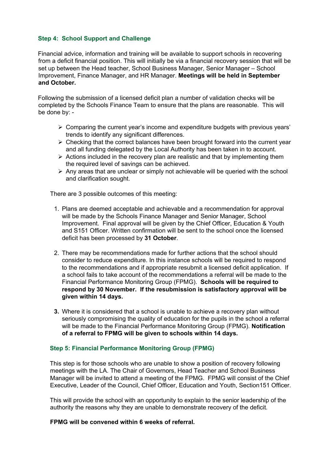#### **Step 4: School Support and Challenge**

Financial advice, information and training will be available to support schools in recovering from a deficit financial position. This will initially be via a financial recovery session that will be set up between the Head teacher, School Business Manager, Senior Manager – School Improvement, Finance Manager, and HR Manager. **Meetings will be held in September and October.**

Following the submission of a licensed deficit plan a number of validation checks will be completed by the Schools Finance Team to ensure that the plans are reasonable. This will be done by: -

- $\triangleright$  Comparing the current year's income and expenditure budgets with previous years' trends to identify any significant differences.
- $\triangleright$  Checking that the correct balances have been brought forward into the current year and all funding delegated by the Local Authority has been taken in to account.
- $\triangleright$  Actions included in the recovery plan are realistic and that by implementing them the required level of savings can be achieved.
- $\triangleright$  Any areas that are unclear or simply not achievable will be queried with the school and clarification sought.

There are 3 possible outcomes of this meeting:

- 1. Plans are deemed acceptable and achievable and a recommendation for approval will be made by the Schools Finance Manager and Senior Manager, School Improvement. Final approval will be given by the Chief Officer, Education & Youth and S151 Officer. Written confirmation will be sent to the school once the licensed deficit has been processed by **31 October**.
- 2. There may be recommendations made for further actions that the school should consider to reduce expenditure. In this instance schools will be required to respond to the recommendations and if appropriate resubmit a licensed deficit application. If a school fails to take account of the recommendations a referral will be made to the Financial Performance Monitoring Group (FPMG). **Schools will be required to respond by 30 November. If the resubmission is satisfactory approval will be given within 14 days.**
- **3.** Where it is considered that a school is unable to achieve a recovery plan without seriously compromising the quality of education for the pupils in the school a referral will be made to the Financial Performance Monitoring Group (FPMG). **Notification of a referral to FPMG will be given to schools within 14 days.**

#### **Step 5: Financial Performance Monitoring Group (FPMG)**

This step is for those schools who are unable to show a position of recovery following meetings with the LA. The Chair of Governors, Head Teacher and School Business Manager will be invited to attend a meeting of the FPMG. FPMG will consist of the Chief Executive, Leader of the Council, Chief Officer, Education and Youth, Section151 Officer.

This will provide the school with an opportunity to explain to the senior leadership of the authority the reasons why they are unable to demonstrate recovery of the deficit.

#### **FPMG will be convened within 6 weeks of referral.**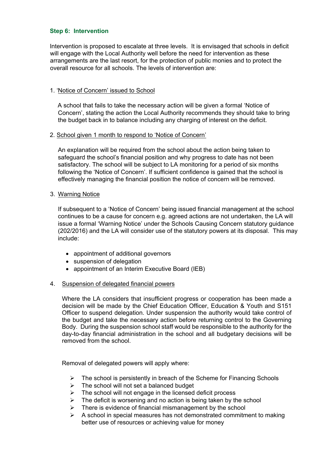#### **Step 6: Intervention**

Intervention is proposed to escalate at three levels. It is envisaged that schools in deficit will engage with the Local Authority well before the need for intervention as these arrangements are the last resort, for the protection of public monies and to protect the overall resource for all schools. The levels of intervention are:

#### 1. 'Notice of Concern' issued to School

A school that fails to take the necessary action will be given a formal 'Notice of Concern', stating the action the Local Authority recommends they should take to bring the budget back in to balance including any charging of interest on the deficit.

#### 2. School given 1 month to respond to 'Notice of Concern'

An explanation will be required from the school about the action being taken to safeguard the school's financial position and why progress to date has not been satisfactory. The school will be subject to LA monitoring for a period of six months following the 'Notice of Concern'. If sufficient confidence is gained that the school is effectively managing the financial position the notice of concern will be removed.

#### 3. Warning Notice

If subsequent to a 'Notice of Concern' being issued financial management at the school continues to be a cause for concern e.g. agreed actions are not undertaken, the LA will issue a formal 'Warning Notice' under the Schools Causing Concern statutory guidance (202/2016) and the LA will consider use of the statutory powers at its disposal. This may include:

- appointment of additional governors
- suspension of delegation
- appointment of an Interim Executive Board (IEB)

#### 4. Suspension of delegated financial powers

Where the LA considers that insufficient progress or cooperation has been made a decision will be made by the Chief Education Officer, Education & Youth and S151 Officer to suspend delegation. Under suspension the authority would take control of the budget and take the necessary action before returning control to the Governing Body. During the suspension school staff would be responsible to the authority for the day-to-day financial administration in the school and all budgetary decisions will be removed from the school.

Removal of delegated powers will apply where:

- $\triangleright$  The school is persistently in breach of the Scheme for Financing Schools
- $\triangleright$  The school will not set a balanced budget
- $\triangleright$  The school will not engage in the licensed deficit process
- $\triangleright$  The deficit is worsening and no action is being taken by the school
- $\triangleright$  There is evidence of financial mismanagement by the school
- A school in special measures has not demonstrated commitment to making better use of resources or achieving value for money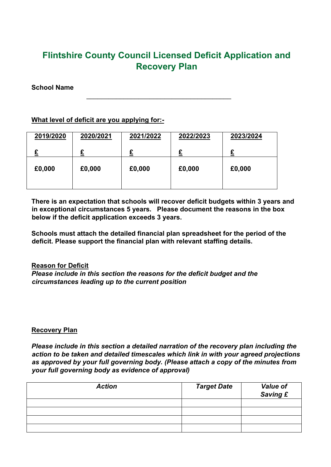## **Flintshire County Council Licensed Deficit Application and Recovery Plan**

 $\mathcal{L}_\text{max}$  , and the contract of the contract of the contract of the contract of the contract of the contract of the contract of the contract of the contract of the contract of the contract of the contract of the contr

#### **School Name**

#### **What level of deficit are you applying for:-**

| 2019/2020 | 2020/2021 | 2021/2022 | 2022/2023 | 2023/2024 |
|-----------|-----------|-----------|-----------|-----------|
| ~         |           |           |           |           |
| £0,000    | £0,000    | £0,000    | £0,000    | £0,000    |
|           |           |           |           |           |

**There is an expectation that schools will recover deficit budgets within 3 years and in exceptional circumstances 5 years. Please document the reasons in the box below if the deficit application exceeds 3 years.** 

**Schools must attach the detailed financial plan spreadsheet for the period of the deficit. Please support the financial plan with relevant staffing details.**

#### **Reason for Deficit**

*Please include in this section the reasons for the deficit budget and the circumstances leading up to the current position*

#### **Recovery Plan**

*Please include in this section a detailed narration of the recovery plan including the action to be taken and detailed timescales which link in with your agreed projections as approved by your full governing body. (Please attach a copy of the minutes from your full governing body as evidence of approval)*

| <b>Action</b> | <b>Target Date</b> | <b>Value of</b><br>Saving £ |
|---------------|--------------------|-----------------------------|
|               |                    |                             |
|               |                    |                             |
|               |                    |                             |
|               |                    |                             |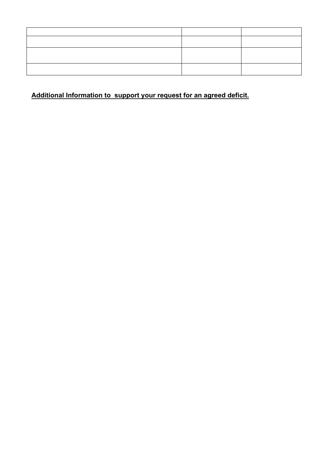### **Additional Information to support your request for an agreed deficit.**